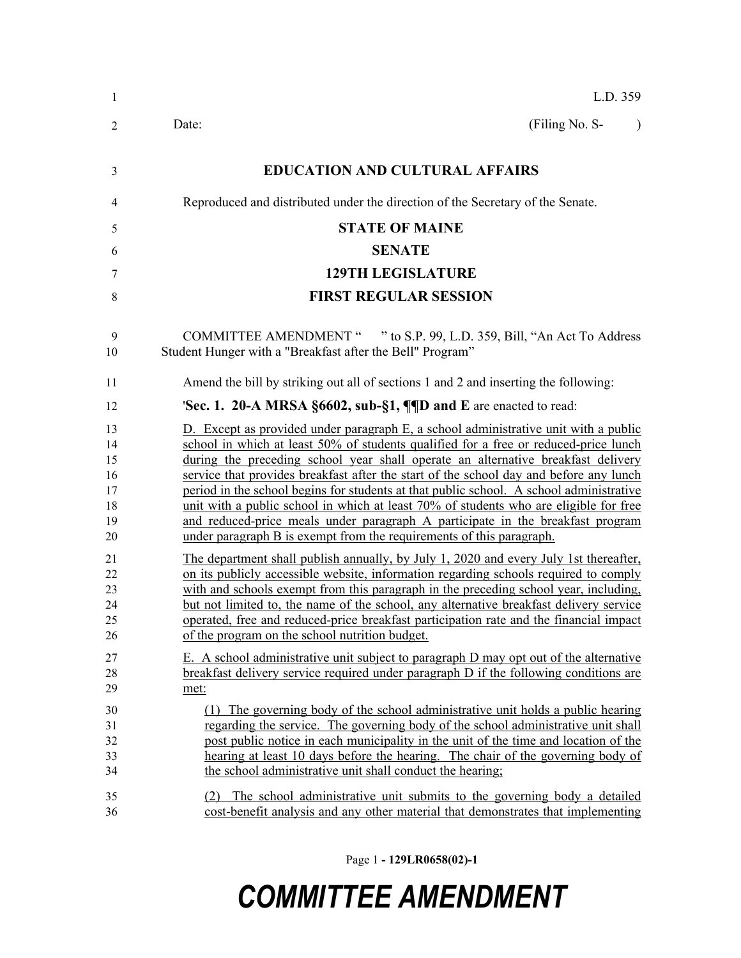| 1                                            | L.D. 359                                                                                                                                                                                                                                                                                                                                                                                                                                                                                                                                                                                                                                                                                                |  |  |  |
|----------------------------------------------|---------------------------------------------------------------------------------------------------------------------------------------------------------------------------------------------------------------------------------------------------------------------------------------------------------------------------------------------------------------------------------------------------------------------------------------------------------------------------------------------------------------------------------------------------------------------------------------------------------------------------------------------------------------------------------------------------------|--|--|--|
| $\overline{2}$                               | (Filing No. S-<br>Date:<br>$\lambda$                                                                                                                                                                                                                                                                                                                                                                                                                                                                                                                                                                                                                                                                    |  |  |  |
| 3                                            | <b>EDUCATION AND CULTURAL AFFAIRS</b>                                                                                                                                                                                                                                                                                                                                                                                                                                                                                                                                                                                                                                                                   |  |  |  |
| 4                                            | Reproduced and distributed under the direction of the Secretary of the Senate.                                                                                                                                                                                                                                                                                                                                                                                                                                                                                                                                                                                                                          |  |  |  |
| 5                                            | <b>STATE OF MAINE</b>                                                                                                                                                                                                                                                                                                                                                                                                                                                                                                                                                                                                                                                                                   |  |  |  |
| 6                                            | <b>SENATE</b>                                                                                                                                                                                                                                                                                                                                                                                                                                                                                                                                                                                                                                                                                           |  |  |  |
| 7                                            | <b>129TH LEGISLATURE</b>                                                                                                                                                                                                                                                                                                                                                                                                                                                                                                                                                                                                                                                                                |  |  |  |
| $\,$ 8 $\,$                                  | <b>FIRST REGULAR SESSION</b>                                                                                                                                                                                                                                                                                                                                                                                                                                                                                                                                                                                                                                                                            |  |  |  |
| 9<br>10                                      | COMMITTEE AMENDMENT " " to S.P. 99, L.D. 359, Bill, "An Act To Address<br>Student Hunger with a "Breakfast after the Bell" Program"                                                                                                                                                                                                                                                                                                                                                                                                                                                                                                                                                                     |  |  |  |
| 11                                           | Amend the bill by striking out all of sections 1 and 2 and inserting the following:                                                                                                                                                                                                                                                                                                                                                                                                                                                                                                                                                                                                                     |  |  |  |
| 12                                           | 'Sec. 1. 20-A MRSA $\S6602$ , sub- $\S1$ , $\P$ $\P$ D and E are enacted to read:                                                                                                                                                                                                                                                                                                                                                                                                                                                                                                                                                                                                                       |  |  |  |
| 13<br>14<br>15<br>16<br>17<br>18<br>19<br>20 | D. Except as provided under paragraph E, a school administrative unit with a public<br>school in which at least 50% of students qualified for a free or reduced-price lunch<br>during the preceding school year shall operate an alternative breakfast delivery<br>service that provides breakfast after the start of the school day and before any lunch<br>period in the school begins for students at that public school. A school administrative<br>unit with a public school in which at least 70% of students who are eligible for free<br>and reduced-price meals under paragraph A participate in the breakfast program<br>under paragraph B is exempt from the requirements of this paragraph. |  |  |  |
| 21<br>22<br>23<br>24<br>25<br>26             | The department shall publish annually, by July 1, 2020 and every July 1st thereafter,<br>on its publicly accessible website, information regarding schools required to comply<br>with and schools exempt from this paragraph in the preceding school year, including,<br>but not limited to, the name of the school, any alternative breakfast delivery service<br>operated, free and reduced-price breakfast participation rate and the financial impact<br>of the program on the school nutrition budget.                                                                                                                                                                                             |  |  |  |
| 27<br>28<br>29                               | E. A school administrative unit subject to paragraph D may opt out of the alternative<br>breakfast delivery service required under paragraph D if the following conditions are<br>met:                                                                                                                                                                                                                                                                                                                                                                                                                                                                                                                  |  |  |  |
| 30<br>31<br>32<br>33<br>34                   | (1) The governing body of the school administrative unit holds a public hearing<br>regarding the service. The governing body of the school administrative unit shall<br>post public notice in each municipality in the unit of the time and location of the<br>hearing at least 10 days before the hearing. The chair of the governing body of<br>the school administrative unit shall conduct the hearing;                                                                                                                                                                                                                                                                                             |  |  |  |
| 35<br>36                                     | The school administrative unit submits to the governing body a detailed<br>(2)<br>cost-benefit analysis and any other material that demonstrates that implementing                                                                                                                                                                                                                                                                                                                                                                                                                                                                                                                                      |  |  |  |

Page 1 **- 129LR0658(02)-1**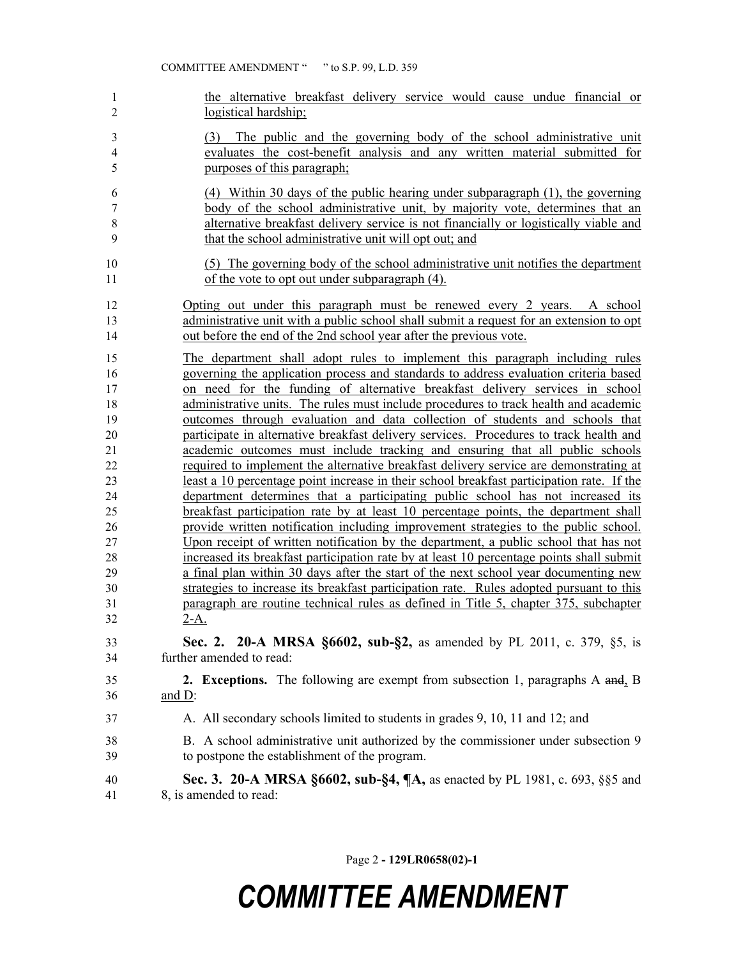the alternative breakfast delivery service would cause undue financial or logistical hardship; (3) The public and the governing body of the school administrative unit evaluates the cost-benefit analysis and any written material submitted for purposes of this paragraph; (4) Within 30 days of the public hearing under subparagraph (1), the governing body of the school administrative unit, by majority vote, determines that an alternative breakfast delivery service is not financially or logistically viable and that the school administrative unit will opt out; and (5) The governing body of the school administrative unit notifies the department of the vote to opt out under subparagraph (4). Opting out under this paragraph must be renewed every 2 years. A school administrative unit with a public school shall submit a request for an extension to opt out before the end of the 2nd school year after the previous vote. The department shall adopt rules to implement this paragraph including rules governing the application process and standards to address evaluation criteria based on need for the funding of alternative breakfast delivery services in school administrative units. The rules must include procedures to track health and academic outcomes through evaluation and data collection of students and schools that participate in alternative breakfast delivery services. Procedures to track health and academic outcomes must include tracking and ensuring that all public schools required to implement the alternative breakfast delivery service are demonstrating at least a 10 percentage point increase in their school breakfast participation rate. If the department determines that a participating public school has not increased its breakfast participation rate by at least 10 percentage points, the department shall provide written notification including improvement strategies to the public school. Upon receipt of written notification by the department, a public school that has not increased its breakfast participation rate by at least 10 percentage points shall submit a final plan within 30 days after the start of the next school year documenting new strategies to increase its breakfast participation rate. Rules adopted pursuant to this paragraph are routine technical rules as defined in Title 5, chapter 375, subchapter 2-A. **Sec. 2. 20-A MRSA §6602, sub-§2,** as amended by PL 2011, c. 379, §5, is further amended to read: **2. Exceptions.** The following are exempt from subsection 1, paragraphs A and, B and D: A. All secondary schools limited to students in grades 9, 10, 11 and 12; and B. A school administrative unit authorized by the commissioner under subsection 9 to postpone the establishment of the program. **Sec. 3. 20-A MRSA §6602, sub-§4, ¶A,** as enacted by PL 1981, c. 693, §§5 and 8, is amended to read:

Page 2 **- 129LR0658(02)-1**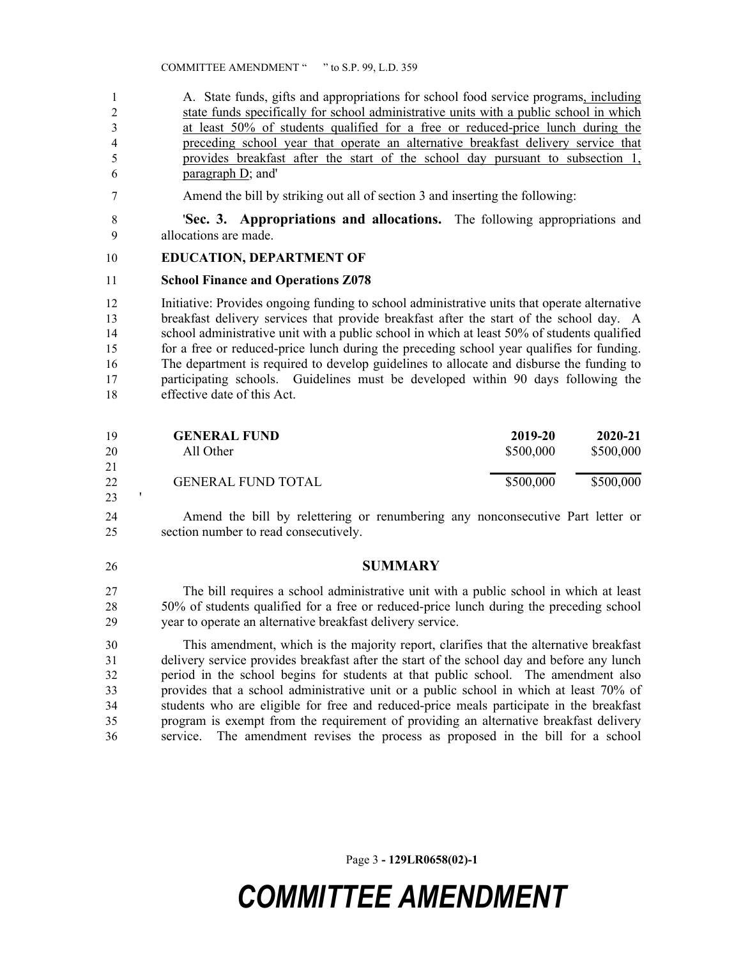1 A. State funds, gifts and appropriations for school food service programs, including state funds specifically for school administrative units with a public school in which at least 50% of students qualified for a free or reduced-price lunch during the preceding school year that operate an alternative breakfast delivery service that provides breakfast after the start of the school day pursuant to subsection 1, paragraph D; and'

Amend the bill by striking out all of section 3 and inserting the following:

 '**Sec. 3. Appropriations and allocations.** The following appropriations and allocations are made.

#### **EDUCATION, DEPARTMENT OF**

#### **School Finance and Operations Z078**

 Initiative: Provides ongoing funding to school administrative units that operate alternative breakfast delivery services that provide breakfast after the start of the school day. A 14 school administrative unit with a public school in which at least 50% of students qualified for a free or reduced-price lunch during the preceding school year qualifies for funding. The department is required to develop guidelines to allocate and disburse the funding to participating schools. Guidelines must be developed within 90 days following the effective date of this Act.

| 19 | <b>GENERAL FUND</b>       | 2019-20   | 2020-21   |
|----|---------------------------|-----------|-----------|
| 20 | All Other                 | \$500,000 | \$500,000 |
| 21 |                           |           |           |
| 22 | <b>GENERAL FUND TOTAL</b> | \$500,000 | \$500,000 |
| 23 |                           |           |           |

 Amend the bill by relettering or renumbering any nonconsecutive Part letter or section number to read consecutively.

#### **SUMMARY**

 The bill requires a school administrative unit with a public school in which at least 50% of students qualified for a free or reduced-price lunch during the preceding school year to operate an alternative breakfast delivery service.

 This amendment, which is the majority report, clarifies that the alternative breakfast delivery service provides breakfast after the start of the school day and before any lunch period in the school begins for students at that public school. The amendment also provides that a school administrative unit or a public school in which at least 70% of students who are eligible for free and reduced-price meals participate in the breakfast program is exempt from the requirement of providing an alternative breakfast delivery service. The amendment revises the process as proposed in the bill for a school

Page 3 **- 129LR0658(02)-1**